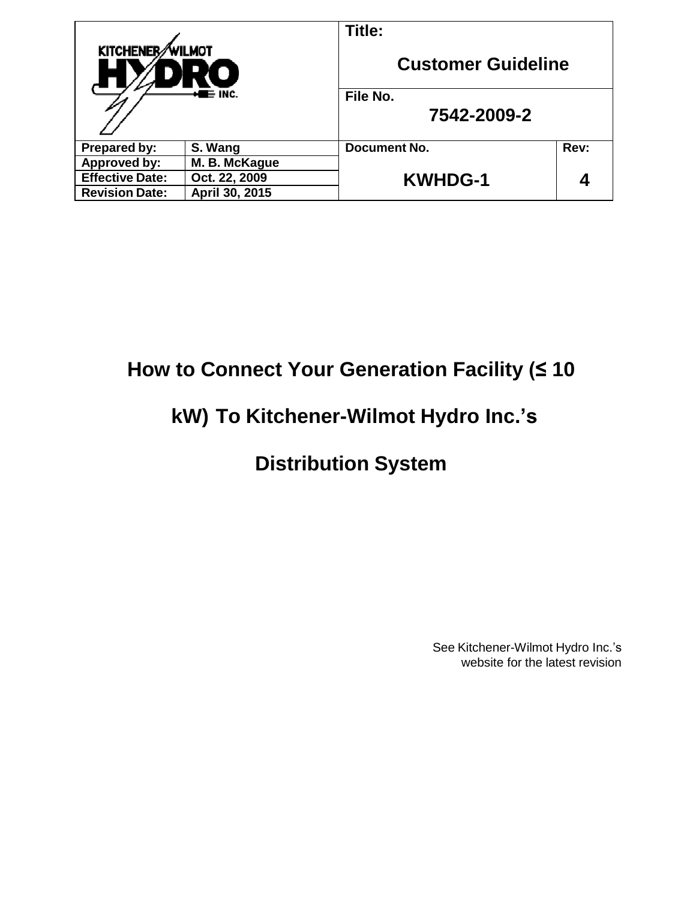| <b>KITCHENER</b><br>WILMOT<br>$\blacksquare$ INC. |                | Title:                    |      |
|---------------------------------------------------|----------------|---------------------------|------|
|                                                   |                | <b>Customer Guideline</b> |      |
|                                                   |                | File No.                  |      |
|                                                   |                | 7542-2009-2               |      |
| Prepared by:                                      | S. Wang        | Document No.              | Rev: |
| <b>Approved by:</b>                               | M. B. McKague  |                           |      |
| <b>Effective Date:</b>                            | Oct. 22, 2009  | <b>KWHDG-1</b>            | 0    |
| <b>Revision Date:</b>                             | April 30, 2015 |                           |      |

# **How to Connect Your Generation Facility (≤ 10**

# **kW) To Kitchener-Wilmot Hydro Inc.'s**

# **Distribution System**

See Kitchener-Wilmot Hydro Inc.'s website for the latest revision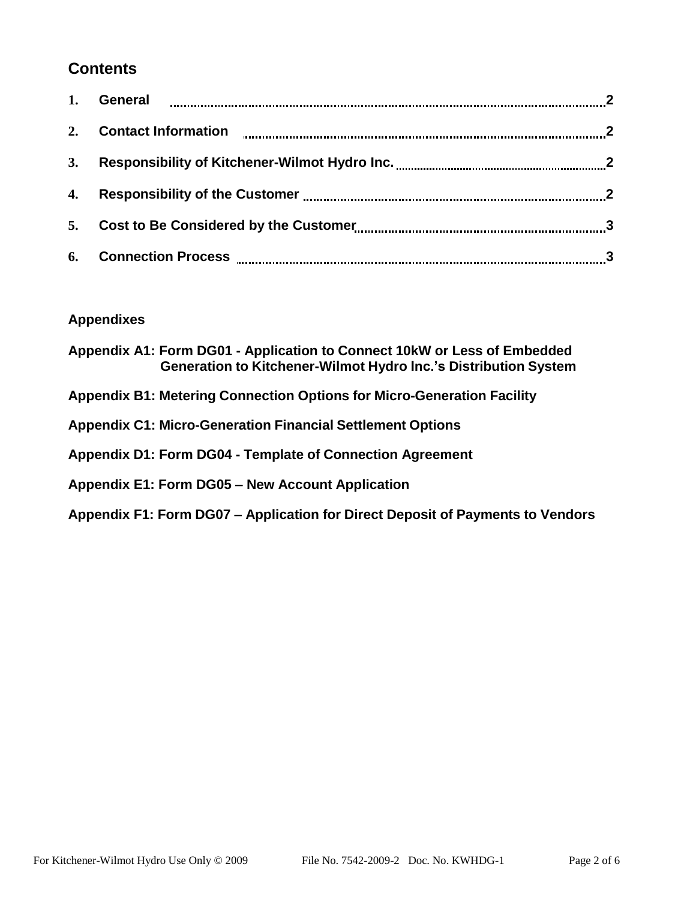# **Contents**

| 5. |  |
|----|--|
|    |  |

# **Appendixes**

| Appendix A1: Form DG01 - Application to Connect 10kW or Less of Embedded<br><b>Generation to Kitchener-Wilmot Hydro Inc.'s Distribution System</b> |
|----------------------------------------------------------------------------------------------------------------------------------------------------|
| <b>Appendix B1: Metering Connection Options for Micro-Generation Facility</b>                                                                      |
| <b>Appendix C1: Micro-Generation Financial Settlement Options</b>                                                                                  |
| <b>Appendix D1: Form DG04 - Template of Connection Agreement</b>                                                                                   |
| Appendix E1: Form DG05 - New Account Application                                                                                                   |
| Appendix F1: Form DG07 - Application for Direct Deposit of Payments to Vendors                                                                     |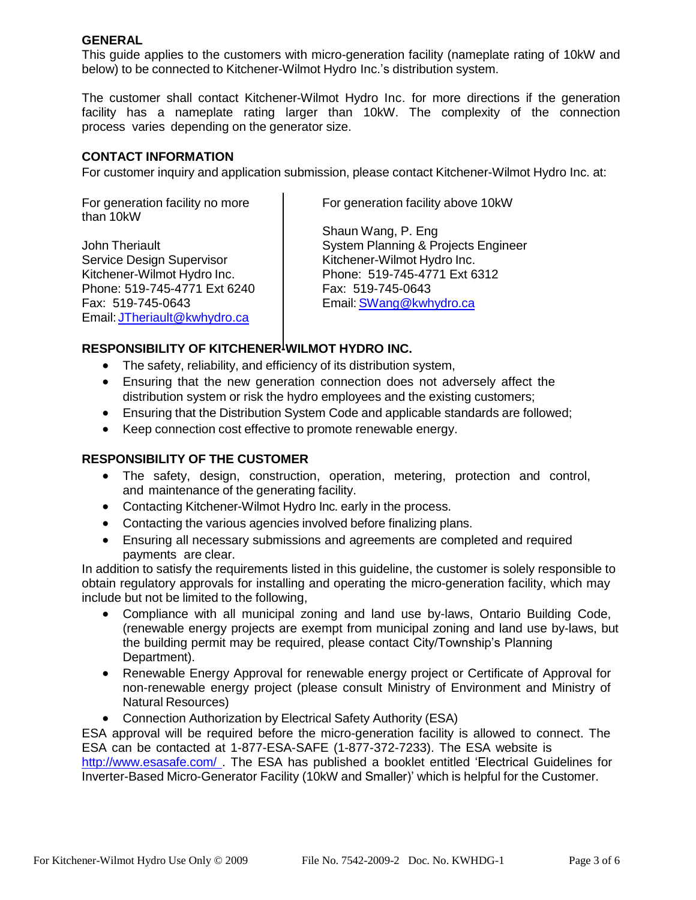### **GENERAL**

This guide applies to the customers with micro-generation facility (nameplate rating of 10kW and below) to be connected to Kitchener-Wilmot Hydro Inc.'s distribution system.

The customer shall contact Kitchener-Wilmot Hydro Inc. for more directions if the generation facility has a nameplate rating larger than 10kW. The complexity of the connection process varies depending on the generator size.

#### **CONTACT INFORMATION**

For customer inquiry and application submission, please contact Kitchener-Wilmot Hydro Inc. at:

For generation facility no more than 10kW

John Theriault Service Design Supervisor Kitchener-Wilmot Hydro Inc. Phone: 519-745-4771 Ext 6240 Fax: 519-745-0643 Email: [JTheriault@kwhydro.ca](mailto:JTheriault@kwhydro.ca)

For generation facility above 10kW

Shaun Wang, P. Eng System Planning & Projects Engineer Kitchener-Wilmot Hydro Inc. Phone: 519-745-4771 Ext 6312 Fax: 519-745-0643 Email: [SWang@kwhydro.ca](mailto:SWang@kwhydro.ca)

## **RESPONSIBILITY OF KITCHENER-WILMOT HYDRO INC.**

- The safety, reliability, and efficiency of its distribution system,
- Ensuring that the new generation connection does not adversely affect the distribution system or risk the hydro employees and the existing customers;
- Ensuring that the Distribution System Code and applicable standards are followed;
- Keep connection cost effective to promote renewable energy.

## **RESPONSIBILITY OF THE CUSTOMER**

- The safety, design, construction, operation, metering, protection and control, and maintenance of the generating facility.
- Contacting Kitchener-Wilmot Hydro Inc. early in the process.
- Contacting the various agencies involved before finalizing plans.
- Ensuring all necessary submissions and agreements are completed and required payments are clear.

In addition to satisfy the requirements listed in this guideline, the customer is solely responsible to obtain regulatory approvals for installing and operating the micro-generation facility, which may include but not be limited to the following,

- Compliance with all municipal zoning and land use by-laws, Ontario Building Code, (renewable energy projects are exempt from municipal zoning and land use by-laws, but the building permit may be required, please contact City/Township's Planning Department).
- Renewable Energy Approval for renewable energy project or Certificate of Approval for non-renewable energy project (please consult Ministry of Environment and Ministry of Natural Resources)
- Connection Authorization by Electrical Safety Authority (ESA)

ESA approval will be required before the micro-generation facility is allowed to connect. The ESA can be contacted at 1-877-ESA-SAFE (1-877-372-7233). The ESA website is <http://www.esasafe.com/> . The ESA has published a booklet entitled 'Electrical Guidelines for Inverter-Based Micro-Generator Facility (10kW and Smaller)' which is helpful for the Customer.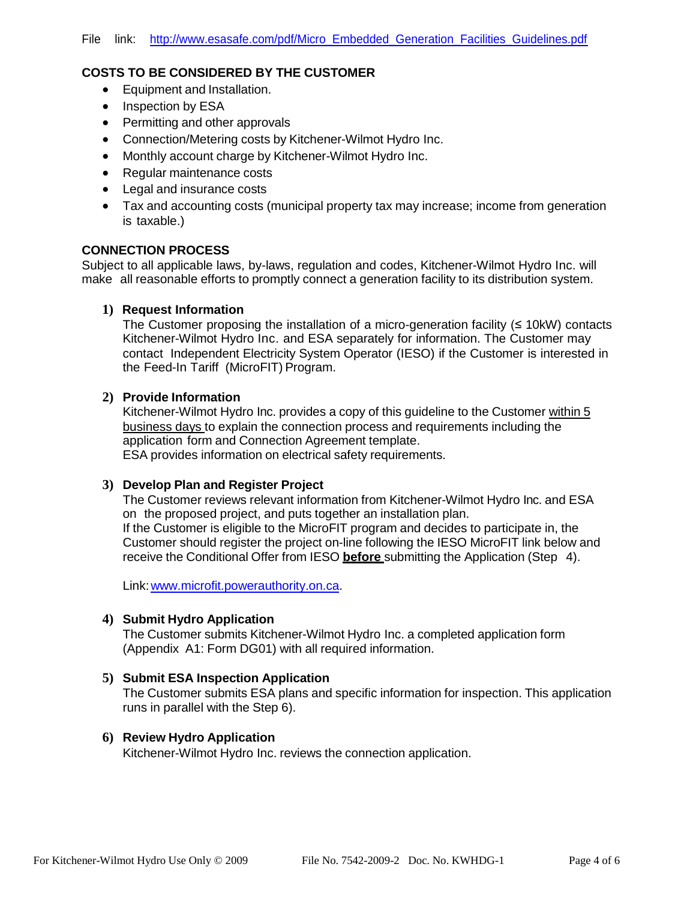#### **COSTS TO BE CONSIDERED BY THE CUSTOMER**

- Equipment and Installation.
- Inspection by ESA
- Permitting and other approvals
- Connection/Metering costs by Kitchener-Wilmot Hydro Inc.
- Monthly account charge by Kitchener-Wilmot Hydro Inc.
- Regular maintenance costs
- Legal and insurance costs
- Tax and accounting costs (municipal property tax may increase; income from generation is taxable.)

#### **CONNECTION PROCESS**

Subject to all applicable laws, by-laws, regulation and codes, Kitchener-Wilmot Hydro Inc. will make all reasonable efforts to promptly connect a generation facility to its distribution system.

#### **1) Request Information**

The Customer proposing the installation of a micro-generation facility  $(≤ 10kW)$  contacts Kitchener-Wilmot Hydro Inc. and ESA separately for information. The Customer may contact Independent Electricity System Operator (IESO) if the Customer is interested in the Feed-In Tariff (MicroFIT) Program.

#### **2) Provide Information**

Kitchener-Wilmot Hydro Inc. provides a copy of this guideline to the Customer within 5 business days to explain the connection process and requirements including the application form and Connection Agreement template. ESA provides information on electrical safety requirements.

#### **3) Develop Plan and Register Project**

The Customer reviews relevant information from Kitchener-Wilmot Hydro Inc. and ESA on the proposed project, and puts together an installation plan. If the Customer is eligible to the MicroFIT program and decides to participate in, the Customer should register the project on-line following the IESO MicroFIT link below and receive the Conditional Offer from IESO **before** submitting the Application (Step 4).

Link: www.microfit.powerauthority.on.ca.

#### **4) Submit Hydro Application**

The Customer submits Kitchener-Wilmot Hydro Inc. a completed application form (Appendix A1: Form DG01) with all required information.

#### **5) Submit ESA Inspection Application**

The Customer submits ESA plans and specific information for inspection. This application runs in parallel with the Step 6).

#### **6) Review Hydro Application**

Kitchener-Wilmot Hydro Inc. reviews the connection application.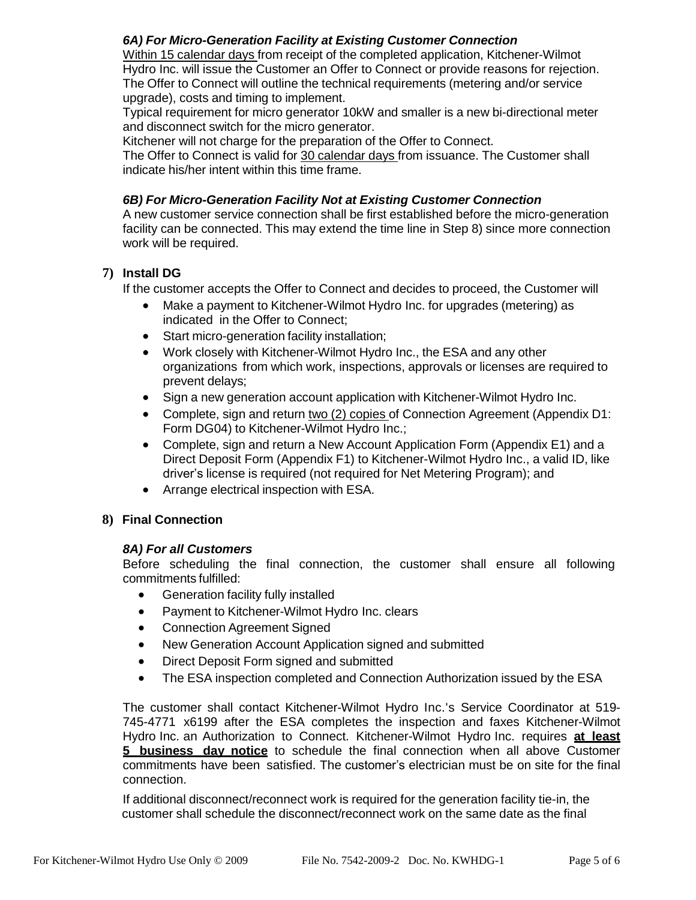# *6A) For Micro-Generation Facility at Existing Customer Connection*

Within 15 calendar days from receipt of the completed application, Kitchener-Wilmot Hydro Inc. will issue the Customer an Offer to Connect or provide reasons for rejection. The Offer to Connect will outline the technical requirements (metering and/or service upgrade), costs and timing to implement.

Typical requirement for micro generator 10kW and smaller is a new bi-directional meter and disconnect switch for the micro generator.

Kitchener will not charge for the preparation of the Offer to Connect.

The Offer to Connect is valid for 30 calendar days from issuance. The Customer shall indicate his/her intent within this time frame.

# *6B) For Micro-Generation Facility Not at Existing Customer Connection*

A new customer service connection shall be first established before the micro-generation facility can be connected. This may extend the time line in Step 8) since more connection work will be required.

# **7) Install DG**

If the customer accepts the Offer to Connect and decides to proceed, the Customer will

- Make a payment to Kitchener-Wilmot Hydro Inc. for upgrades (metering) as indicated in the Offer to Connect;
- Start micro-generation facility installation;
- Work closely with Kitchener-Wilmot Hydro Inc., the ESA and any other organizations from which work, inspections, approvals or licenses are required to prevent delays;
- Sign a new generation account application with Kitchener-Wilmot Hydro Inc.
- Complete, sign and return two (2) copies of Connection Agreement (Appendix D1: Form DG04) to Kitchener-Wilmot Hydro Inc.;
- Complete, sign and return a New Account Application Form (Appendix E1) and a Direct Deposit Form (Appendix F1) to Kitchener-Wilmot Hydro Inc., a valid ID, like driver's license is required (not required for Net Metering Program); and
- Arrange electrical inspection with ESA.

## **8) Final Connection**

#### *8A) For all Customers*

Before scheduling the final connection, the customer shall ensure all following commitments fulfilled:

- Generation facility fully installed
- Payment to Kitchener-Wilmot Hydro Inc. clears
- Connection Agreement Signed
- New Generation Account Application signed and submitted
- Direct Deposit Form signed and submitted
- The ESA inspection completed and Connection Authorization issued by the ESA

The customer shall contact Kitchener-Wilmot Hydro Inc.'s Service Coordinator at 519- 745-4771 x6199 after the ESA completes the inspection and faxes Kitchener-Wilmot Hydro Inc. an Authorization to Connect. Kitchener-Wilmot Hydro Inc. requires **at least 5 business day notice** to schedule the final connection when all above Customer commitments have been satisfied. The customer's electrician must be on site for the final connection.

If additional disconnect/reconnect work is required for the generation facility tie-in, the customer shall schedule the disconnect/reconnect work on the same date as the final